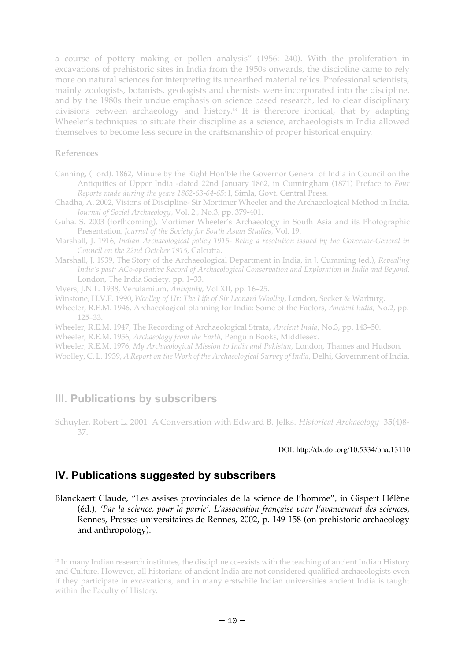a course of pottery making or pollen analysis" (1956: 240). With the proliferation in excavations of prehistoric sites in India from the 1950s onwards, the discipline came to rely more on natural sciences for interpreting its unearthed material relics. Professional scientists, mainly zoologists, botanists, geologists and chemists were incorporated into the discipline, and by the 1980s their undue emphasis on science based research, led to clear disciplinary divisions between archaeology and history.<sup>13</sup> It is therefore ironical, that by adapting Wheeler's techniques to situate their discipline as a science, archaeologists in India allowed themselves to become less secure in the craftsmanship of proper historical enquiry.

### **References**

- Canning, (Lord). 1862, Minute by the Right Hon'ble the Governor General of India in Council on the Antiquities of Upper India -dated 22nd January 1862, in Cunningham (1871) Preface to *Four Reports made during the years 1862-63-64-65*: I, Simla, Govt. Central Press.
- Chadha, A. 2002, Visions of Discipline- Sir Mortimer Wheeler and the Archaeological Method in India. *Journal of Social Archaeology*, Vol. 2., No.3, pp. 379-401.
- Guha. S. 2003 (forthcoming), Mortimer Wheeler's Archaeology in South Asia and its Photographic Presentation, *Journal of the Society for South Asian Studies*, Vol. 19.
- Marshall, J. 1916, *Indian Archaeological policy 1915- Being a resolution issued by the Governor-General in Council on the 22nd October 1915*, Calcutta.
- Marshall, J. 1939, The Story of the Archaeological Department in India, in J. Cumming (ed.), *Revealing India's past: ACo-operative Record of Archaeological Conservation and Exploration in India and Beyond*, London, The India Society, pp. 1–33.

Myers, J.N.L. 1938, Verulamium, *Antiquity*, Vol XII, pp. 16–25.

Winstone, H.V.F. 1990, *Woolley of Ur: The Life of Sir Leonard Woolley*, London, Secker & Warburg.

Wheeler, R.E.M. 1946, Archaeological planning for India: Some of the Factors, *Ancient India*, No.2, pp. 125–33.

Wheeler, R.E.M. 1947, The Recording of Archaeological Strata, *Ancient India*, No.3, pp. 143–50.

Wheeler, R.E.M. 1956, *Archaeology from the Earth*, Penguin Books, Middlesex.

Wheeler, R.E.M. 1976, *My Archaeological Mission to India and Pakistan*, London, Thames and Hudson.

Woolley, C. L. 1939, *A Report on the Work of the Archaeological Survey of India*, Delhi, Government of India.

# **III. Publications by subscribers**

Schuyler, Robert L. 2001 A Conversation with Edward B. Jelks. *Historical Archaeology* 35(4)8- 37.

#### DOI: http://dx.doi.org/10.5334/bha.13110

# **IV. Publications suggested by subscribers**

Blanckaert Claude, "Les assises provinciales de la science de l'homme", in Gispert Hélène (éd.), *'Par la science, pour la patrie'. L'association française pour l'avancement des sciences*, Rennes, Presses universitaires de Rennes, 2002, p. 149-158 (on prehistoric archaeology and anthropology).

<sup>&</sup>lt;sup>13</sup> In many Indian research institutes, the discipline co-exists with the teaching of ancient Indian History and Culture. However, all historians of ancient India are not considered qualified archaeologists even if they participate in excavations, and in many erstwhile Indian universities ancient India is taught within the Faculty of History.